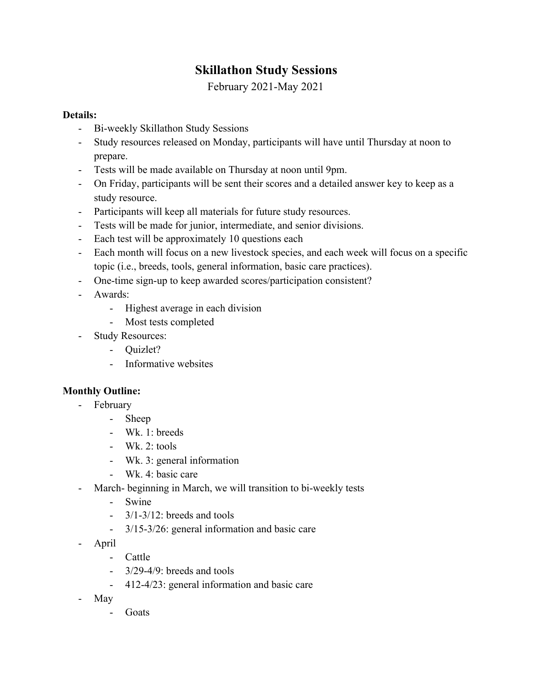## **Skillathon Study Sessions**

February 2021-May 2021

## **Details:**

- Bi-weekly Skillathon Study Sessions
- Study resources released on Monday, participants will have until Thursday at noon to prepare.
- Tests will be made available on Thursday at noon until 9pm.
- On Friday, participants will be sent their scores and a detailed answer key to keep as a study resource.
- Participants will keep all materials for future study resources.
- Tests will be made for junior, intermediate, and senior divisions.
- Each test will be approximately 10 questions each
- Each month will focus on a new livestock species, and each week will focus on a specific topic (i.e., breeds, tools, general information, basic care practices).
- One-time sign-up to keep awarded scores/participation consistent?
- Awards:
	- Highest average in each division
	- Most tests completed
- Study Resources:
	- Quizlet?
	- Informative websites

## **Monthly Outline:**

- February
	- Sheep
	- Wk. 1: breeds
	- Wk. 2:  $tools$
	- Wk. 3: general information
	- Wk. 4: basic care
- March- beginning in March, we will transition to bi-weekly tests
	- Swine
	- $-3/1-3/12$  breeds and tools
	- 3/15-3/26: general information and basic care
- April
	- Cattle
		- $3/29-4/9$ : breeds and tools
		- 412-4/23: general information and basic care
- May
	- Goats